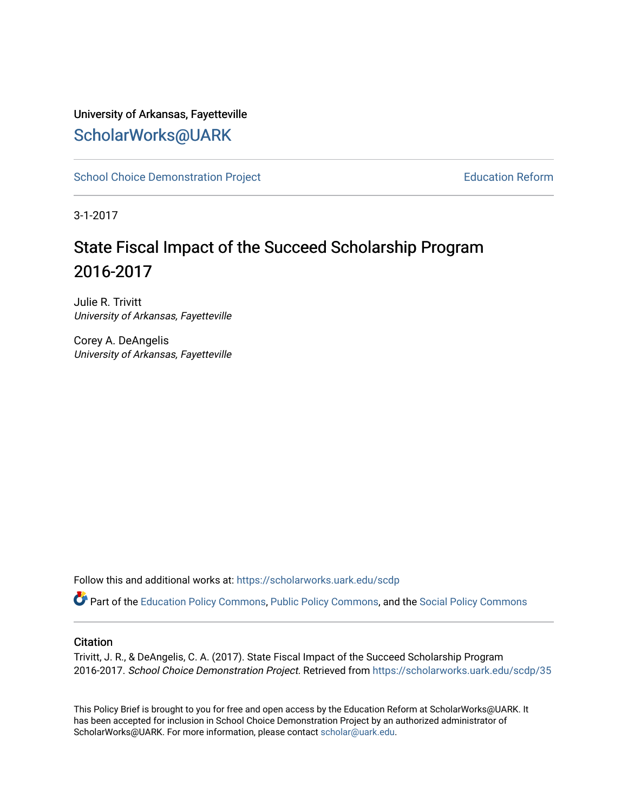## University of Arkansas, Fayetteville [ScholarWorks@UARK](https://scholarworks.uark.edu/)

[School Choice Demonstration Project](https://scholarworks.uark.edu/scdp) **Education Reform** Education Reform

3-1-2017

# State Fiscal Impact of the Succeed Scholarship Program 2016-2017

Julie R. Trivitt University of Arkansas, Fayetteville

Corey A. DeAngelis University of Arkansas, Fayetteville

Follow this and additional works at: [https://scholarworks.uark.edu/scdp](https://scholarworks.uark.edu/scdp?utm_source=scholarworks.uark.edu%2Fscdp%2F35&utm_medium=PDF&utm_campaign=PDFCoverPages) 

Part of the [Education Policy Commons](http://network.bepress.com/hgg/discipline/1026?utm_source=scholarworks.uark.edu%2Fscdp%2F35&utm_medium=PDF&utm_campaign=PDFCoverPages), [Public Policy Commons](http://network.bepress.com/hgg/discipline/400?utm_source=scholarworks.uark.edu%2Fscdp%2F35&utm_medium=PDF&utm_campaign=PDFCoverPages), and the [Social Policy Commons](http://network.bepress.com/hgg/discipline/1030?utm_source=scholarworks.uark.edu%2Fscdp%2F35&utm_medium=PDF&utm_campaign=PDFCoverPages)

#### **Citation**

Trivitt, J. R., & DeAngelis, C. A. (2017). State Fiscal Impact of the Succeed Scholarship Program 2016-2017. School Choice Demonstration Project. Retrieved from [https://scholarworks.uark.edu/scdp/35](https://scholarworks.uark.edu/scdp/35?utm_source=scholarworks.uark.edu%2Fscdp%2F35&utm_medium=PDF&utm_campaign=PDFCoverPages) 

This Policy Brief is brought to you for free and open access by the Education Reform at ScholarWorks@UARK. It has been accepted for inclusion in School Choice Demonstration Project by an authorized administrator of ScholarWorks@UARK. For more information, please contact [scholar@uark.edu](mailto:scholar@uark.edu).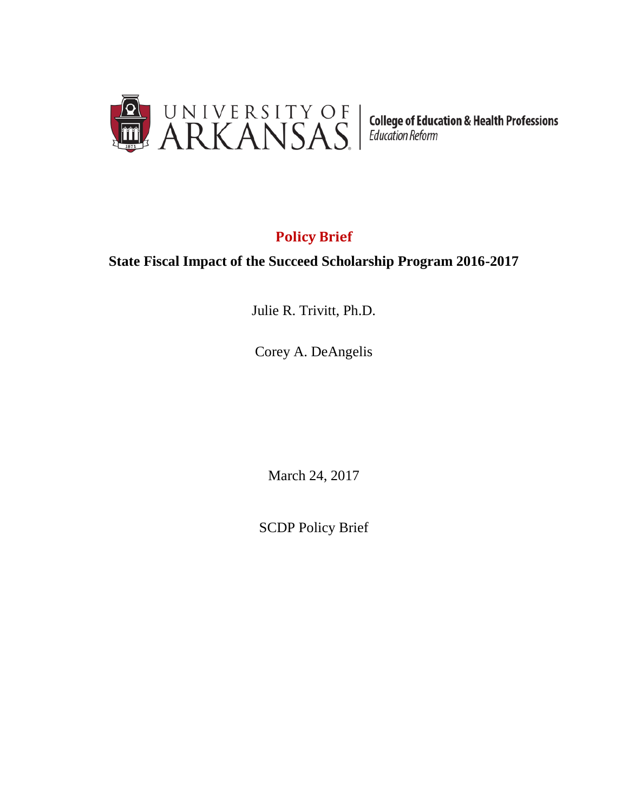

# **Policy Brief**

### **State Fiscal Impact of the Succeed Scholarship Program 2016-2017**

Julie R. Trivitt, Ph.D.

Corey A. DeAngelis

March 24, 2017

SCDP Policy Brief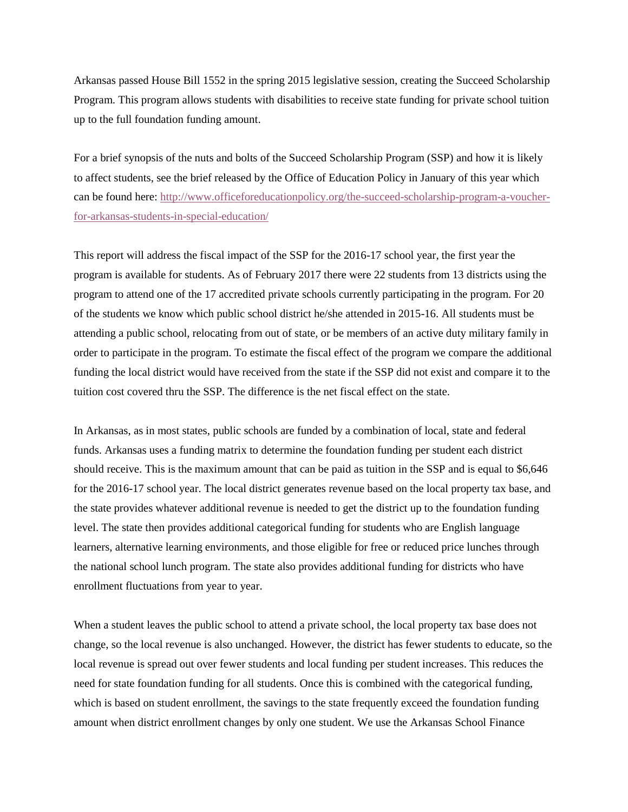Arkansas passed House Bill 1552 in the spring 2015 legislative session, creating the Succeed Scholarship Program. This program allows students with disabilities to receive state funding for private school tuition up to the full foundation funding amount.

For a brief synopsis of the nuts and bolts of the Succeed Scholarship Program (SSP) and how it is likely to affect students, see the brief released by the Office of Education Policy in January of this year which can be found here: [http://www.officeforeducationpolicy.org/the-succeed-scholarship-program-a-voucher](http://www.officeforeducationpolicy.org/the-succeed-scholarship-program-a-voucher-for-arkansas-students-in-special-education/)[for-arkansas-students-in-special-education/](http://www.officeforeducationpolicy.org/the-succeed-scholarship-program-a-voucher-for-arkansas-students-in-special-education/)

This report will address the fiscal impact of the SSP for the 2016-17 school year, the first year the program is available for students. As of February 2017 there were 22 students from 13 districts using the program to attend one of the 17 accredited private schools currently participating in the program. For 20 of the students we know which public school district he/she attended in 2015-16. All students must be attending a public school, relocating from out of state, or be members of an active duty military family in order to participate in the program. To estimate the fiscal effect of the program we compare the additional funding the local district would have received from the state if the SSP did not exist and compare it to the tuition cost covered thru the SSP. The difference is the net fiscal effect on the state.

In Arkansas, as in most states, public schools are funded by a combination of local, state and federal funds. Arkansas uses a funding matrix to determine the foundation funding per student each district should receive. This is the maximum amount that can be paid as tuition in the SSP and is equal to \$6,646 for the 2016-17 school year. The local district generates revenue based on the local property tax base, and the state provides whatever additional revenue is needed to get the district up to the foundation funding level. The state then provides additional categorical funding for students who are English language learners, alternative learning environments, and those eligible for free or reduced price lunches through the national school lunch program. The state also provides additional funding for districts who have enrollment fluctuations from year to year.

When a student leaves the public school to attend a private school, the local property tax base does not change, so the local revenue is also unchanged. However, the district has fewer students to educate, so the local revenue is spread out over fewer students and local funding per student increases. This reduces the need for state foundation funding for all students. Once this is combined with the categorical funding, which is based on student enrollment, the savings to the state frequently exceed the foundation funding amount when district enrollment changes by only one student. We use the Arkansas School Finance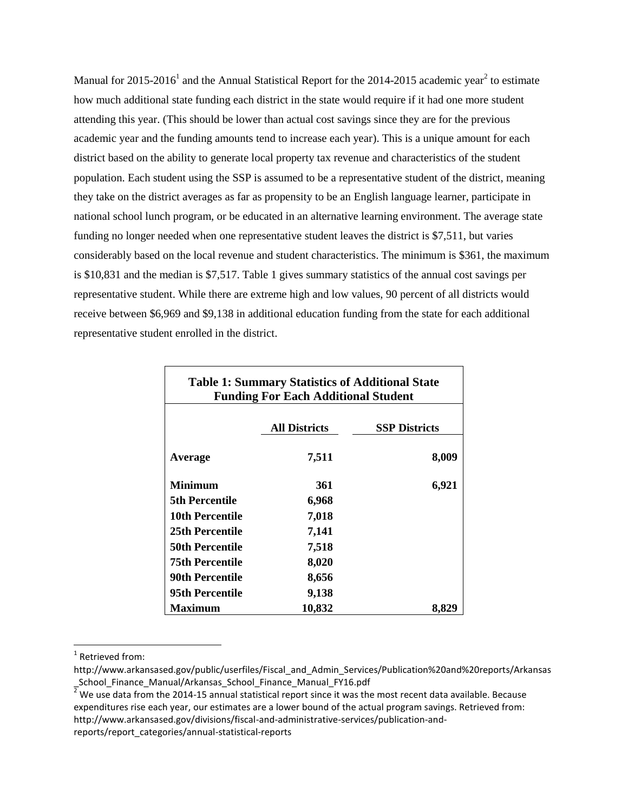Manual for 2015-2016<sup>1</sup> and the Annual Statistical Report for the 2014-2015 academic year<sup>2</sup> to estimate how much additional state funding each district in the state would require if it had one more student attending this year. (This should be lower than actual cost savings since they are for the previous academic year and the funding amounts tend to increase each year). This is a unique amount for each district based on the ability to generate local property tax revenue and characteristics of the student population. Each student using the SSP is assumed to be a representative student of the district, meaning they take on the district averages as far as propensity to be an English language learner, participate in national school lunch program, or be educated in an alternative learning environment. The average state funding no longer needed when one representative student leaves the district is \$7,511, but varies considerably based on the local revenue and student characteristics. The minimum is \$361, the maximum is \$10,831 and the median is \$7,517. Table 1 gives summary statistics of the annual cost savings per representative student. While there are extreme high and low values, 90 percent of all districts would receive between \$6,969 and \$9,138 in additional education funding from the state for each additional representative student enrolled in the district.

| <b>Table 1: Summary Statistics of Additional State</b><br><b>Funding For Each Additional Student</b> |                      |                      |  |  |
|------------------------------------------------------------------------------------------------------|----------------------|----------------------|--|--|
|                                                                                                      | <b>All Districts</b> | <b>SSP Districts</b> |  |  |
| Average                                                                                              | 7,511                | 8,009                |  |  |
| <b>Minimum</b>                                                                                       | 361                  | 6,921                |  |  |
| <b>5th Percentile</b>                                                                                | 6,968                |                      |  |  |
| 10th Percentile                                                                                      | 7,018                |                      |  |  |
| 25th Percentile                                                                                      | 7,141                |                      |  |  |
| <b>50th Percentile</b>                                                                               | 7,518                |                      |  |  |
| 75th Percentile                                                                                      | 8,020                |                      |  |  |
| <b>90th Percentile</b>                                                                               | 8,656                |                      |  |  |
| 95th Percentile                                                                                      | 9,138                |                      |  |  |
| <b>Maximum</b>                                                                                       | 10,832               | 8,82                 |  |  |

 $\overline{\phantom{a}}$ <sup>1</sup> Retrieved from:

http://www.arkansased.gov/public/userfiles/Fiscal\_and\_Admin\_Services/Publication%20and%20reports/Arkansas School Finance Manual/Arkansas School Finance Manual FY16.pdf

<sup>2</sup> We use data from the 2014-15 annual statistical report since it was the most recent data available. Because expenditures rise each year, our estimates are a lower bound of the actual program savings. Retrieved from: http://www.arkansased.gov/divisions/fiscal-and-administrative-services/publication-andreports/report\_categories/annual-statistical-reports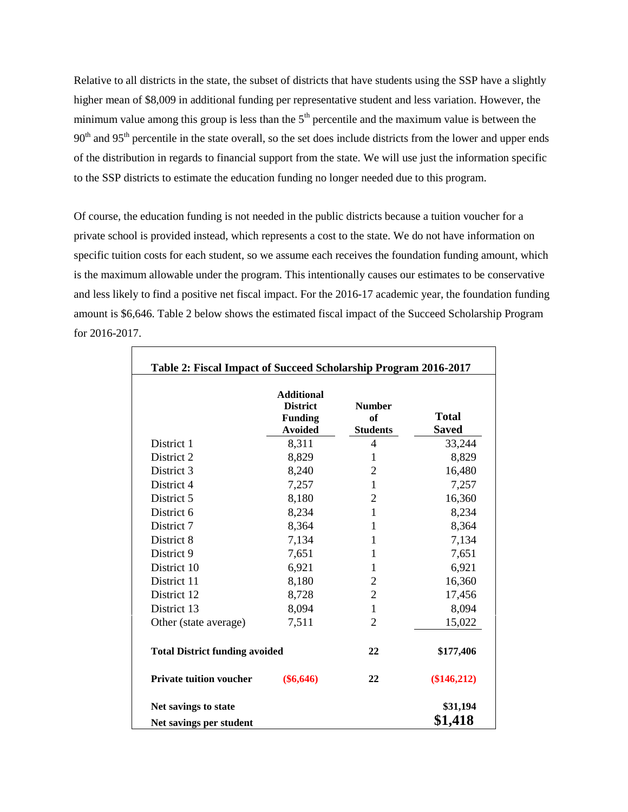Relative to all districts in the state, the subset of districts that have students using the SSP have a slightly higher mean of \$8,009 in additional funding per representative student and less variation. However, the minimum value among this group is less than the  $5<sup>th</sup>$  percentile and the maximum value is between the 90<sup>th</sup> and 95<sup>th</sup> percentile in the state overall, so the set does include districts from the lower and upper ends of the distribution in regards to financial support from the state. We will use just the information specific to the SSP districts to estimate the education funding no longer needed due to this program.

Of course, the education funding is not needed in the public districts because a tuition voucher for a private school is provided instead, which represents a cost to the state. We do not have information on specific tuition costs for each student, so we assume each receives the foundation funding amount, which is the maximum allowable under the program. This intentionally causes our estimates to be conservative and less likely to find a positive net fiscal impact. For the 2016-17 academic year, the foundation funding amount is \$6,646. Table 2 below shows the estimated fiscal impact of the Succeed Scholarship Program for 2016-2017.

|                                       | <b>Additional</b><br><b>District</b><br><b>Funding</b><br><b>Avoided</b> | <b>Number</b><br><sub>of</sub><br><b>Students</b> | <b>Total</b><br><b>Saved</b> |
|---------------------------------------|--------------------------------------------------------------------------|---------------------------------------------------|------------------------------|
| District 1                            | 8,311                                                                    | $\overline{\mathcal{A}}$                          | 33,244                       |
| District 2                            | 8,829                                                                    | 1                                                 | 8,829                        |
| District 3                            | 8,240                                                                    | $\mathfrak{2}$                                    | 16,480                       |
| District 4                            | 7,257                                                                    | $\mathbf{1}$                                      | 7,257                        |
| District 5                            | 8,180                                                                    | $\overline{2}$                                    | 16,360                       |
| District 6                            | 8,234                                                                    | $\mathbf{1}$                                      | 8,234                        |
| District 7                            | 8,364                                                                    | 1                                                 | 8,364                        |
| District 8                            | 7,134                                                                    | 1                                                 | 7,134                        |
| District 9                            | 7,651                                                                    | $\mathbf{1}$                                      | 7,651                        |
| District 10                           | 6,921                                                                    | 1                                                 | 6,921                        |
| District 11                           | 8,180                                                                    | $\overline{2}$                                    | 16,360                       |
| District 12                           | 8,728                                                                    | $\overline{2}$                                    | 17,456                       |
| District 13                           | 8,094                                                                    | $\mathbf{1}$                                      | 8,094                        |
| Other (state average)                 | 7,511                                                                    | $\overline{2}$                                    | 15,022                       |
| <b>Total District funding avoided</b> |                                                                          | 22                                                | \$177,406                    |
| <b>Private tuition voucher</b>        | $(\$6,646)$                                                              | 22                                                | $(\$146,212)$                |
| Net savings to state                  |                                                                          |                                                   | \$31,194                     |
| Net savings per student               | \$1,418                                                                  |                                                   |                              |